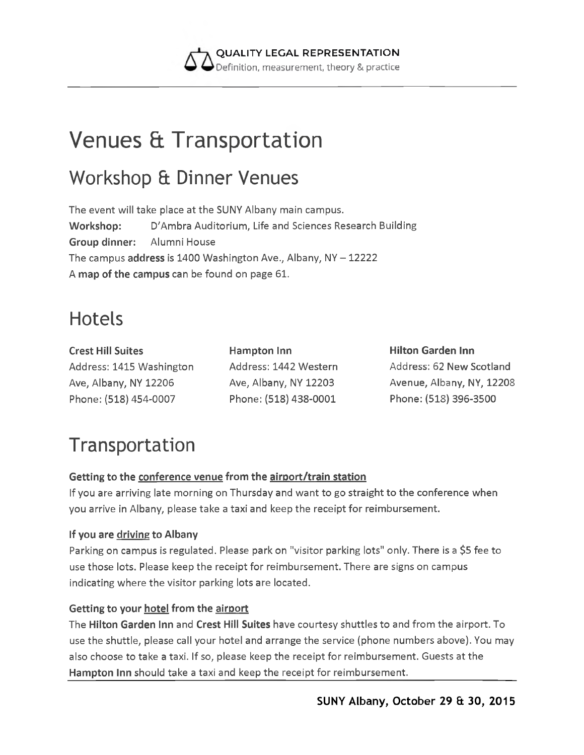

# **Venues & Transportation**

### Workshop & Dinner Venues

The event will take place at the SUNY Albany main campus. **Workshop:** D'Ambra Auditorium, Life and Sciences Research Building **Group dinner:** Alumni House The campus **address** is **1400** Washington Ave., Albany, NY - **12222** A **map of the campus** can **be** found on page **61.**

### Hotels

**Crest Hill Suites** Address: 1415 Washington Ave, Albany, NY 12206 Phone: (518) 454-0007

**Hampton Inn** Address: 1442 Western Ave, Albany, NY 12203 Phone: (518) 438-0001

**Hilton Garden Inn** Address: 62 New Scotland Avenue, Albany, NY, 12208 Phone: (518) 396-3500

## Transportation

#### **Getting to the conference venue from the airoort/train station**

If you are arriving late morning on Thursday and want to go straight to the conference when you arrive in Albany, please take a taxi and keep the receipt for reimbursement.

#### **If you are driving to Albany**

Parking on campus is regulated. Please park on "visitor parking lots" only. There is a \$5 fee to use those lots. Please keep the receipt for reimbursement. There are signs on campus indicating where the visitor parking lots are located.

#### **Getting to your hotel from the airport**

The **Hilton Garden Inn** and **Crest Hill Suites** have courtesy shuttles to and from the airport. To use the shuttle, please call your hotel and arrange the service (phone numbers above). You may also choose to take a taxi. If so, please keep the receipt for reimbursement. Guests at the **Hampton Inn** should take a taxi and keep the receipt for reimbursement.